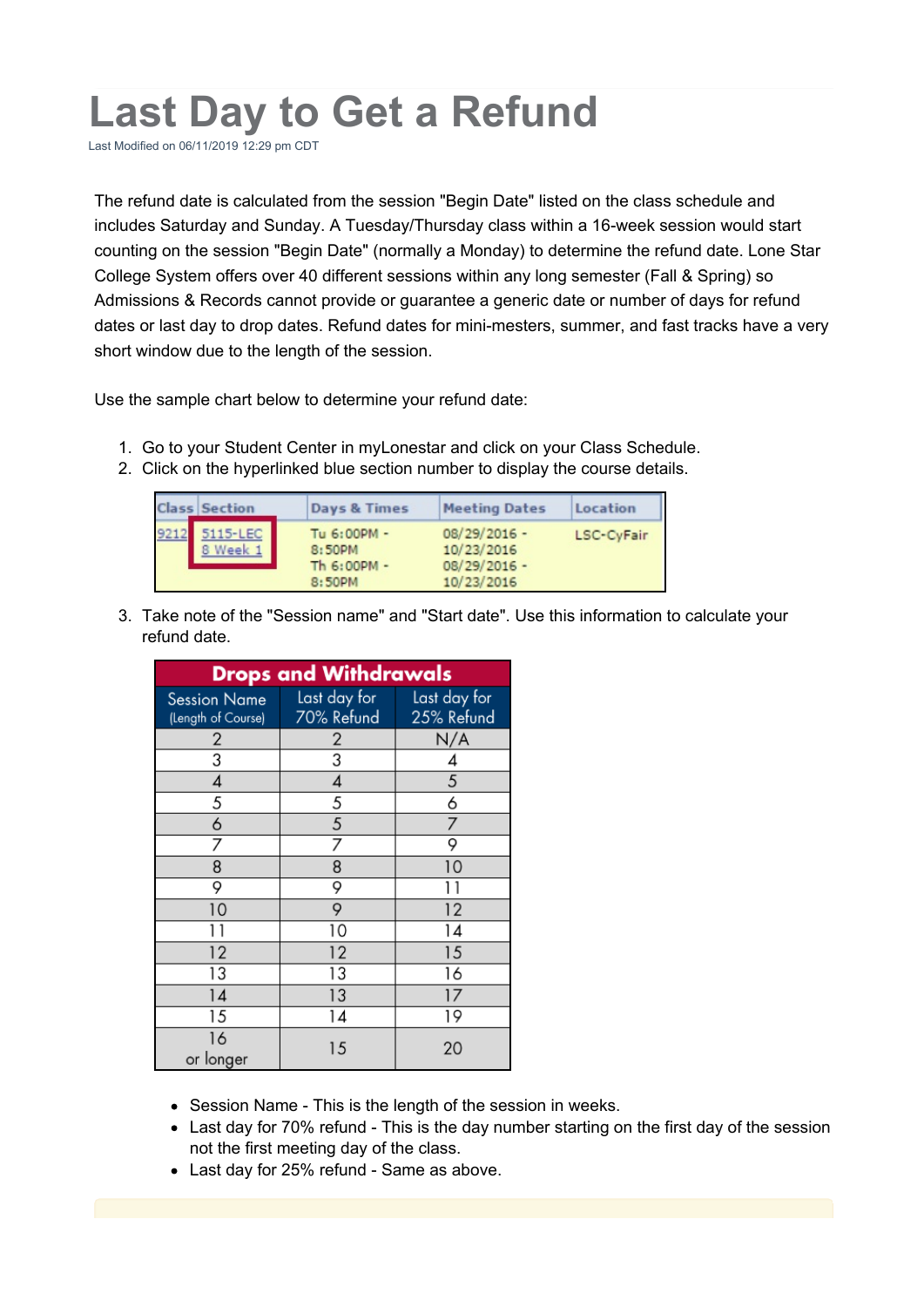## **Last Day to Get a Refund**

Last Modified on 06/11/2019 12:29 pm CDT

The refund date is calculated from the session "Begin Date" listed on the class schedule and includes Saturday and Sunday. A Tuesday/Thursday class within a 16-week session would start counting on the session "Begin Date" (normally a Monday) to determine the refund date. Lone Star College System offers over 40 different sessions within any long semester (Fall & Spring) so Admissions & Records cannot provide or guarantee a generic date or number of days for refund dates or last day to drop dates. Refund dates for mini-mesters, summer, and fast tracks have a very short window due to the length of the session.

Use the sample chart below to determine your refund date:

- 1. Go to your Student Center in myLonestar and click on your Class Schedule.
- 2. Click on the hyperlinked blue section number to display the course details.

| Section          | Days & Times                                   | <b>Meeting Dates</b>                                         | Location   |
|------------------|------------------------------------------------|--------------------------------------------------------------|------------|
| 5115-LEC<br>Week | Tu 6:00PM -<br>8:50PM<br>Th 6:00PM -<br>8:50PM | $08/29/2016 -$<br>10/23/2016<br>$08/29/2016 -$<br>10/23/2016 | LSC-CyFair |

3. Take note of the "Session name" and "Start date". Use this information to calculate your refund date.

| <b>Drops and Withdrawals</b> |              |              |  |  |
|------------------------------|--------------|--------------|--|--|
| <b>Session Name</b>          | Last day for | Last day for |  |  |
| (Length of Course)           | 70% Refund   | 25% Refund   |  |  |
| 2                            | 2            | N/A          |  |  |
| 3                            | 3            | 4            |  |  |
| 4                            | 4            | 5            |  |  |
| 5                            | 5            | 6            |  |  |
| 6                            | 5            | 7            |  |  |
|                              | 7            | 9            |  |  |
| 8                            | 8            | 10           |  |  |
| 9                            | 9            |              |  |  |
| 10                           | 9            | 12           |  |  |
|                              | 10           | 14           |  |  |
| 12                           | 12           | 15           |  |  |
| 13                           | 13           | 16           |  |  |
| 14                           | 13           | 17           |  |  |
| 15                           | 14           | 19           |  |  |
| 16<br>or longer              | 15           | 20           |  |  |

- Session Name This is the length of the session in weeks.
- Last day for 70% refund This is the day number starting on the first day of the session not the first meeting day of the class.
- Last day for 25% refund Same as above.